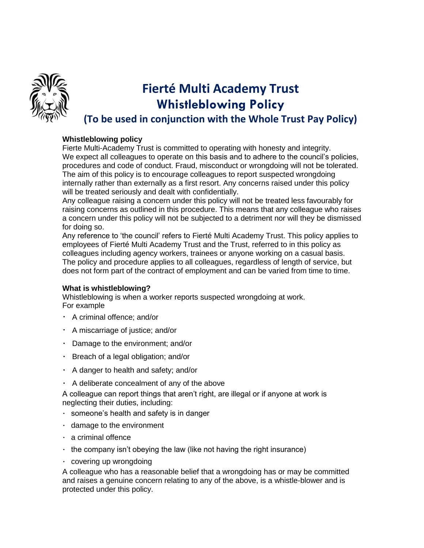

## **Fierté Multi Academy Trust Whistleblowing Policy (To be used in conjunction with the Whole Trust Pay Policy)**

### **Whistleblowing policy**

Fierte Multi-Academy Trust is committed to operating with honesty and integrity. We expect all colleagues to operate on this basis and to adhere to the council's policies, procedures and code of conduct. Fraud, misconduct or wrongdoing will not be tolerated. The aim of this policy is to encourage colleagues to report suspected wrongdoing internally rather than externally as a first resort. Any concerns raised under this policy will be treated seriously and dealt with confidentially.

Any colleague raising a concern under this policy will not be treated less favourably for raising concerns as outlined in this procedure. This means that any colleague who raises a concern under this policy will not be subjected to a detriment nor will they be dismissed for doing so.

Any reference to 'the council' refers to Fierté Multi Academy Trust. This policy applies to employees of Fierté Multi Academy Trust and the Trust, referred to in this policy as colleagues including agency workers, trainees or anyone working on a casual basis. The policy and procedure applies to all colleagues, regardless of length of service, but does not form part of the contract of employment and can be varied from time to time.

### **What is whistleblowing?**

Whistleblowing is when a worker reports suspected wrongdoing at work. For example

- A criminal offence; and/or
- A miscarriage of justice; and/or
- Damage to the environment; and/or
- $\cdot$  Breach of a legal obligation; and/or
- $\cdot$  A danger to health and safety; and/or
- $\cdot$  A deliberate concealment of any of the above

A colleague can report things that aren't right, are illegal or if anyone at work is neglecting their duties, including:

- someone's health and safety is in danger
- $\cdot$  damage to the environment
- $\cdot$  a criminal offence
- $\cdot$  the company isn't obeying the law (like not having the right insurance)
- $\cdot$  covering up wrongdoing

A colleague who has a reasonable belief that a wrongdoing has or may be committed and raises a genuine concern relating to any of the above, is a whistle-blower and is protected under this policy.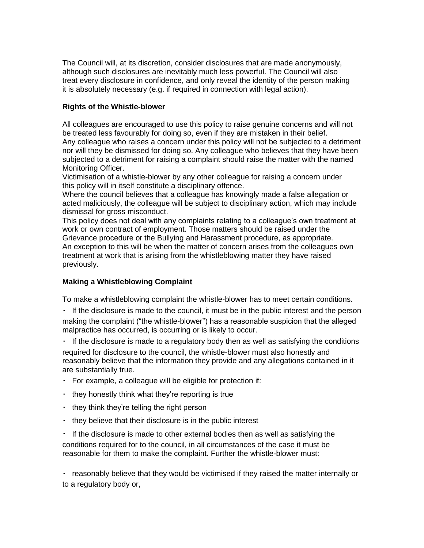The Council will, at its discretion, consider disclosures that are made anonymously, although such disclosures are inevitably much less powerful. The Council will also treat every disclosure in confidence, and only reveal the identity of the person making it is absolutely necessary (e.g. if required in connection with legal action).

### **Rights of the Whistle-blower**

All colleagues are encouraged to use this policy to raise genuine concerns and will not be treated less favourably for doing so, even if they are mistaken in their belief. Any colleague who raises a concern under this policy will not be subjected to a detriment nor will they be dismissed for doing so. Any colleague who believes that they have been subjected to a detriment for raising a complaint should raise the matter with the named Monitoring Officer.

Victimisation of a whistle-blower by any other colleague for raising a concern under this policy will in itself constitute a disciplinary offence.

Where the council believes that a colleague has knowingly made a false allegation or acted maliciously, the colleague will be subject to disciplinary action, which may include dismissal for gross misconduct.

This policy does not deal with any complaints relating to a colleague's own treatment at work or own contract of employment. Those matters should be raised under the Grievance procedure or the Bullying and Harassment procedure, as appropriate. An exception to this will be when the matter of concern arises from the colleagues own treatment at work that is arising from the whistleblowing matter they have raised previously.

### **Making a Whistleblowing Complaint**

To make a whistleblowing complaint the whistle-blower has to meet certain conditions.

If the disclosure is made to the *c*ouncil, it must be in the public interest and the person making the complaint ("the whistle-blower") has a reasonable suspicion that the alleged malpractice has occurred, is occurring or is likely to occur.

 $\cdot$  If the disclosure is made to a regulatory body then as well as satisfying the conditions required for disclosure to the council, the whistle-blower must also honestly and reasonably believe that the information they provide and any allegations contained in it are substantially true.

- $\cdot$  For example, a colleague will be eligible for protection if:
- $\cdot$  they honestly think what they're reporting is true
- $\cdot$  they think they're telling the right person
- $\cdot$  they believe that their disclosure is in the public interest

 $\cdot$  If the disclosure is made to other external bodies then as well as satisfying the conditions required for to the council, in all circumstances of the case it must be reasonable for them to make the complaint. Further the whistle-blower must:

 $\cdot$  reasonably believe that they would be victimised if they raised the matter internally or to a regulatory body or,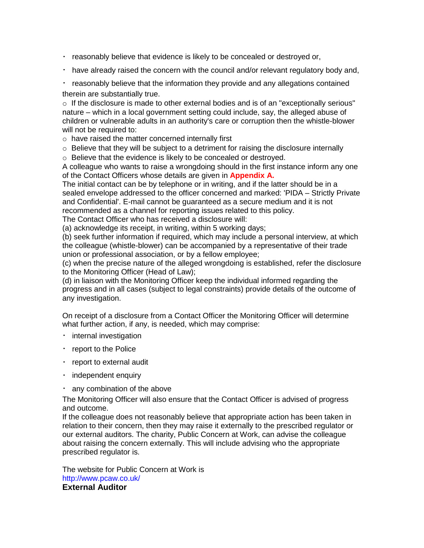- reasonably believe that evidence is likely to be concealed or destroyed or,
- $\cdot$  have already raised the concern with the council and/or relevant regulatory body and,

reasonably believe that the information they provide and any allegations contained therein are substantially true.

 $\circ$  If the disclosure is made to other external bodies and is of an "exceptionally serious" nature – which in a local government setting could include, say, the alleged abuse of children or vulnerable adults in an authority's care or corruption then the whistle-blower will not be required to:

o have raised the matter concerned internally first

 $\circ$  Believe that they will be subject to a detriment for raising the disclosure internally

o Believe that the evidence is likely to be concealed or destroyed.

A colleague who wants to raise a wrongdoing should in the first instance inform any one of the Contact Officers whose details are given in **Appendix A.**

The initial contact can be by telephone or in writing, and if the latter should be in a sealed envelope addressed to the officer concerned and marked: 'PIDA – Strictly Private and Confidential'. E-mail cannot be guaranteed as a secure medium and it is not recommended as a channel for reporting issues related to this policy.

The Contact Officer who has received a disclosure will:

(a) acknowledge its receipt, in writing, within 5 working days;

(b) seek further information if required, which may include a personal interview, at which the colleague (whistle-blower) can be accompanied by a representative of their trade union or professional association, or by a fellow employee;

(c) when the precise nature of the alleged wrongdoing is established, refer the disclosure to the Monitoring Officer (Head of Law);

(d) in liaison with the Monitoring Officer keep the individual informed regarding the progress and in all cases (subject to legal constraints) provide details of the outcome of any investigation.

On receipt of a disclosure from a Contact Officer the Monitoring Officer will determine what further action, if any, is needed, which may comprise:

- $\cdot$  internal investigation
- $\cdot$  report to the Police
- $\cdot$  report to external audit
- $\cdot$  independent enquiry
- any combination of the above

The Monitoring Officer will also ensure that the Contact Officer is advised of progress and outcome.

If the colleague does not reasonably believe that appropriate action has been taken in relation to their concern, then they may raise it externally to the prescribed regulator or our external auditors. The charity, Public Concern at Work, can advise the colleague about raising the concern externally. This will include advising who the appropriate prescribed regulator is.

The website for Public Concern at Work is http://www.pcaw.co.uk/ **External Auditor**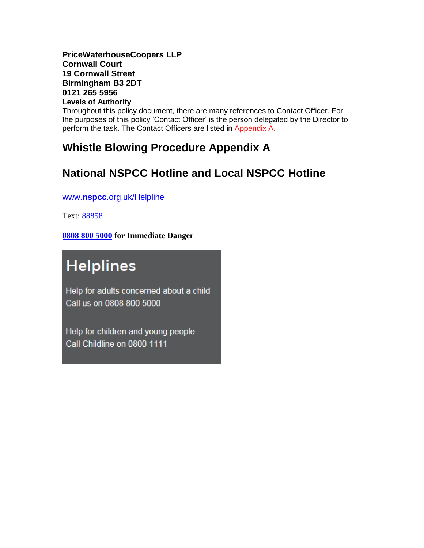**PriceWaterhouseCoopers LLP Cornwall Court 19 Cornwall Street Birmingham B3 2DT 0121 265 5956 Levels of Authority**

Throughout this policy document, there are many references to Contact Officer. For the purposes of this policy 'Contact Officer' is the person delegated by the Director to perform the task. The Contact Officers are listed in Appendix A.

### **Whistle Blowing Procedure Appendix A**

## **National NSPCC Hotline and Local NSPCC Hotline**

www.**nspcc**[.org.uk/Helpline](http://www.nspcc.org.uk/Helpline)

Text: [88858](sms:88858)

**[0808 800 5000](tel:08088005000) for Immediate Danger**

# **Helplines**

Help for adults concerned about a child Call us on 0808 800 5000

Help for children and young people Call Childline on 0800 1111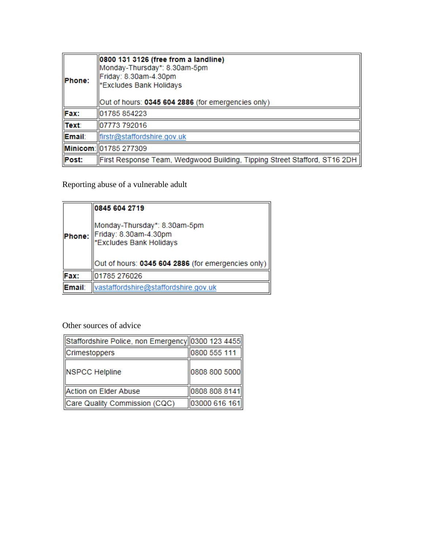| Phone: | 0800 131 3126 (free from a landline)<br>Monday-Thursday*: 8.30am-5pm<br>Friday: 8.30am-4.30pm<br>*Excludes Bank Holidays<br>Out of hours: 0345 604 2886 (for emergencies only) |  |
|--------|--------------------------------------------------------------------------------------------------------------------------------------------------------------------------------|--|
| Fax:   | 01785 854223                                                                                                                                                                   |  |
| Text:  | 07773 792016                                                                                                                                                                   |  |
| Email: | firstr@staffordshire.gov.uk                                                                                                                                                    |  |
|        | Minicom: 01785 277309                                                                                                                                                          |  |
| Post:  | First Response Team, Wedgwood Building, Tipping Street Stafford, ST16 2DH                                                                                                      |  |

Reporting abuse of a vulnerable adult

|        | 0845 604 2719                                                                          |  |
|--------|----------------------------------------------------------------------------------------|--|
|        | Monday-Thursday*: 8.30am-5pm<br>Phone: Friday: 8.30am-4.30pm<br>Excludes Bank Holidays |  |
|        | Out of hours: 0345 604 2886 (for emergencies only)                                     |  |
| Fax:   | 01785 276026                                                                           |  |
| Email: | vastaffordshire@staffordshire.gov.uk                                                   |  |

Other sources of advice

| Staffordshire Police, non Emergency  0300 123 4455 |               |
|----------------------------------------------------|---------------|
| Crimestoppers                                      | 0800 555 111  |
| <b>NSPCC Helpline</b>                              | 0808 800 5000 |
| Action on Elder Abuse                              | 0808 808 8141 |
| Care Quality Commission (CQC)                      | 03000 616 161 |